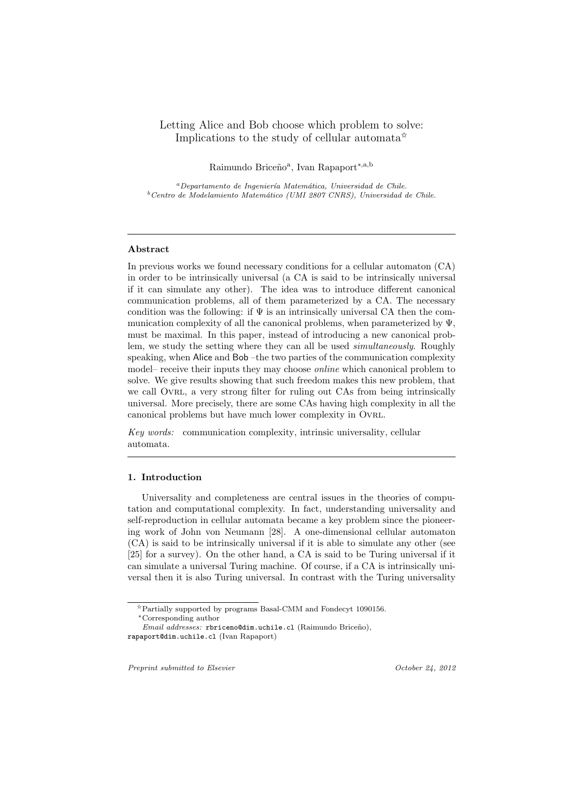# Letting Alice and Bob choose which problem to solve: Implications to the study of cellular automata<sup> $\tilde{\mathbf{x}}$ </sup>

Raimundo Briceño<sup>a</sup>, Ivan Rapaport<sup>∗,a,b</sup>

*<sup>a</sup>Departamento de Ingenier´ıa Matem´atica, Universidad de Chile. <sup>b</sup>Centro de Modelamiento Matem´atico (UMI 2807 CNRS), Universidad de Chile.*

### **Abstract**

In previous works we found necessary conditions for a cellular automaton (CA) in order to be intrinsically universal (a CA is said to be intrinsically universal if it can simulate any other). The idea was to introduce different canonical communication problems, all of them parameterized by a CA. The necessary condition was the following: if  $\Psi$  is an intrinsically universal CA then the communication complexity of all the canonical problems, when parameterized by Ψ, must be maximal. In this paper, instead of introducing a new canonical problem, we study the setting where they can all be used *simultaneously*. Roughly speaking, when Alice and Bob –the two parties of the communication complexity model– receive their inputs they may choose *online* which canonical problem to solve. We give results showing that such freedom makes this new problem, that we call OVRL, a very strong filter for ruling out CAs from being intrinsically universal. More precisely, there are some CAs having high complexity in all the canonical problems but have much lower complexity in Ovrl.

*Key words:* communication complexity, intrinsic universality, cellular automata.

### **1. Introduction**

Universality and completeness are central issues in the theories of computation and computational complexity. In fact, understanding universality and self-reproduction in cellular automata became a key problem since the pioneering work of John von Neumann [28]. A one-dimensional cellular automaton (CA) is said to be intrinsically universal if it is able to simulate any other (see [25] for a survey). On the other hand, a CA is said to be Turing universal if it can simulate a universal Turing machine. Of course, if a CA is intrinsically universal then it is also Turing universal. In contrast with the Turing universality

*Preprint submitted to Elsevier October 24, 2012*

 $\boldsymbol{\hat{\varepsilon}}$  Partially supported by programs Basal-CMM and Fondecyt 1090156. *∗*Corresponding author

*Email addresses:* rbriceno@dim.uchile.cl (Raimundo Briceño), rapaport@dim.uchile.cl (Ivan Rapaport)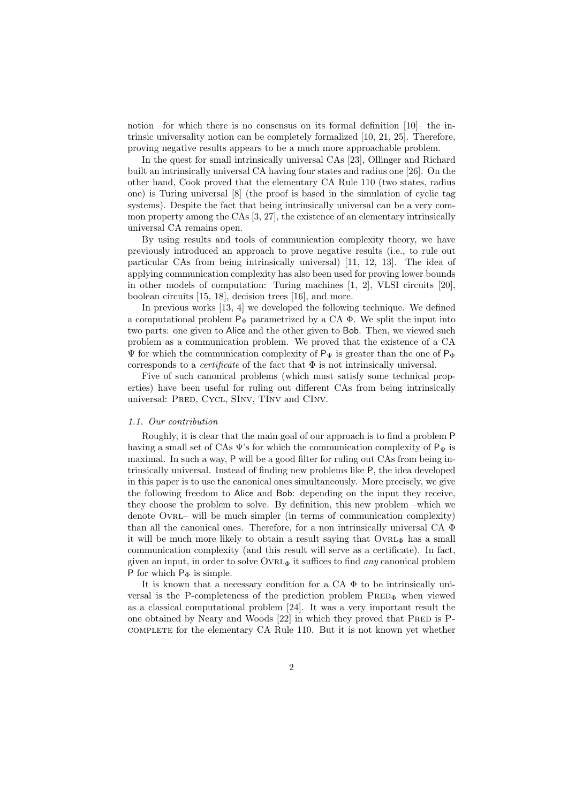notion –for which there is no consensus on its formal definition [10]– the intrinsic universality notion can be completely formalized [10, 21, 25]. Therefore, proving negative results appears to be a much more approachable problem.

In the quest for small intrinsically universal CAs [23], Ollinger and Richard built an intrinsically universal CA having four states and radius one [26]. On the other hand, Cook proved that the elementary CA Rule 110 (two states, radius one) is Turing universal [8] (the proof is based in the simulation of cyclic tag systems). Despite the fact that being intrinsically universal can be a very common property among the CAs [3, 27], the existence of an elementary intrinsically universal CA remains open.

By using results and tools of communication complexity theory, we have previously introduced an approach to prove negative results (i.e., to rule out particular CAs from being intrinsically universal) [11, 12, 13]. The idea of applying communication complexity has also been used for proving lower bounds in other models of computation: Turing machines [1, 2], VLSI circuits [20], boolean circuits [15, 18], decision trees [16], and more.

In previous works [13, 4] we developed the following technique. We defined a computational problem  $P_{\Phi}$  parametrized by a CA  $\Phi$ . We split the input into two parts: one given to Alice and the other given to Bob. Then, we viewed such problem as a communication problem. We proved that the existence of a CA  $\Psi$  for which the communication complexity of P<sub>Ψ</sub> is greater than the one of P<sub>Φ</sub> corresponds to a *certificate* of the fact that Φ is not intrinsically universal.

Five of such canonical problems (which must satisfy some technical properties) have been useful for ruling out different CAs from being intrinsically universal: PRED, CYCL, SINV, TINV and CINV.

#### *1.1. Our contribution*

Roughly, it is clear that the main goal of our approach is to find a problem P having a small set of CAs  $\Psi$ 's for which the communication complexity of  $P_{\Psi}$  is maximal. In such a way, P will be a good filter for ruling out CAs from being intrinsically universal. Instead of finding new problems like P, the idea developed in this paper is to use the canonical ones simultaneously. More precisely, we give the following freedom to Alice and Bob: depending on the input they receive, they choose the problem to solve. By definition, this new problem –which we denote Ovrl– will be much simpler (in terms of communication complexity) than all the canonical ones. Therefore, for a non intrinsically universal CA  $\Phi$ it will be much more likely to obtain a result saying that  $\text{OVRL}_{\Phi}$  has a small communication complexity (and this result will serve as a certificate). In fact, given an input, in order to solve Ovrl<sup>Φ</sup> it suffices to find *any* canonical problem P for which  $P_{\Phi}$  is simple.

It is known that a necessary condition for a  $CA \Phi$  to be intrinsically universal is the P-completeness of the prediction problem  $PRED_{\Phi}$  when viewed as a classical computational problem [24]. It was a very important result the one obtained by Neary and Woods [22] in which they proved that PRED is Pcomplete for the elementary CA Rule 110. But it is not known yet whether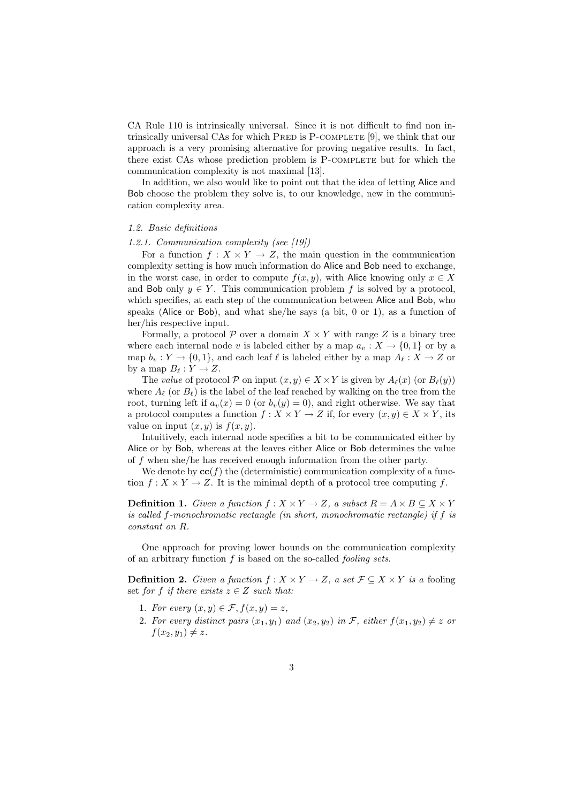CA Rule 110 is intrinsically universal. Since it is not difficult to find non intrinsically universal CAs for which PRED is P-COMPLETE [9], we think that our approach is a very promising alternative for proving negative results. In fact, there exist CAs whose prediction problem is P-COMPLETE but for which the communication complexity is not maximal [13].

In addition, we also would like to point out that the idea of letting Alice and Bob choose the problem they solve is, to our knowledge, new in the communication complexity area.

#### *1.2. Basic definitions*

#### *1.2.1. Communication complexity (see [19])*

For a function  $f: X \times Y \to Z$ , the main question in the communication complexity setting is how much information do Alice and Bob need to exchange, in the worst case, in order to compute  $f(x, y)$ , with Alice knowing only  $x \in X$ and Bob only  $y \in Y$ . This communication problem f is solved by a protocol, which specifies, at each step of the communication between Alice and Bob, who speaks (Alice or Bob), and what she/he says (a bit, 0 or 1), as a function of her/his respective input.

Formally, a protocol  $\mathcal P$  over a domain  $X \times Y$  with range Z is a binary tree where each internal node *v* is labeled either by a map  $a_v : X \to \{0,1\}$  or by a map  $b_v: Y \to \{0,1\}$ , and each leaf  $\ell$  is labeled either by a map  $A_\ell: X \to Z$  or by a map  $B_\ell: Y \to Z$ .

The *value* of protocol  $P$  on input  $(x, y) \in X \times Y$  is given by  $A_{\ell}(x)$  (or  $B_{\ell}(y)$ ) where  $A_{\ell}$  (or  $B_{\ell}$ ) is the label of the leaf reached by walking on the tree from the root, turning left if  $a_v(x) = 0$  (or  $b_v(y) = 0$ ), and right otherwise. We say that a protocol computes a function  $f: X \times Y \to Z$  if, for every  $(x, y) \in X \times Y$ , its value on input  $(x, y)$  is  $f(x, y)$ .

Intuitively, each internal node specifies a bit to be communicated either by Alice or by Bob, whereas at the leaves either Alice or Bob determines the value of *f* when she/he has received enough information from the other party.

We denote by  $\mathbf{cc}(f)$  the (deterministic) communication complexity of a function  $f: X \times Y \to Z$ . It is the minimal depth of a protocol tree computing f.

**Definition 1.** *Given a function*  $f: X \times Y \to Z$ *, a subset*  $R = A \times B \subseteq X \times Y$ *is called f-monochromatic rectangle (in short, monochromatic rectangle) if f is constant on R.*

One approach for proving lower bounds on the communication complexity of an arbitrary function *f* is based on the so-called *fooling sets*.

**Definition 2.** *Given a function*  $f: X \times Y \to Z$ *, a set*  $\mathcal{F} \subseteq X \times Y$  *is a* fooling set *for f if there exists*  $z \in Z$  *such that:* 

- 1. For every  $(x, y) \in \mathcal{F}, f(x, y) = z$ ,
- 2. For every distinct pairs  $(x_1, y_1)$  and  $(x_2, y_2)$  in *F*, either  $f(x_1, y_2) \neq z$  or  $f(x_2, y_1) \neq z$ .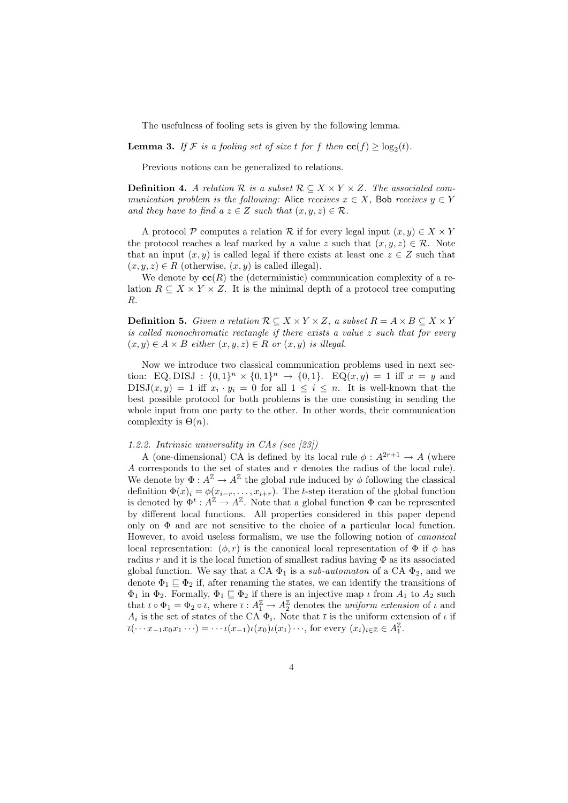The usefulness of fooling sets is given by the following lemma.

**Lemma 3.** *If*  $\mathcal{F}$  *is a fooling set of size t for*  $f$  *then*  $\mathbf{cc}(f) \ge \log_2(t)$ *.* 

Previous notions can be generalized to relations.

**Definition 4.** *A relation*  $R$  *is a subset*  $R \subseteq X \times Y \times Z$ *. The associated communication problem is the following:* Alice *receives*  $x \in X$ *,* Bob *receives*  $y \in Y$ *and they have to find a*  $z \in Z$  *such that*  $(x, y, z) \in R$ *.* 

A protocol  $P$  computes a relation  $R$  if for every legal input  $(x, y) \in X \times Y$ the protocol reaches a leaf marked by a value *z* such that  $(x, y, z) \in \mathcal{R}$ . Note that an input  $(x, y)$  is called legal if there exists at least one  $z \in Z$  such that  $(x, y, z) \in R$  (otherwise,  $(x, y)$  is called illegal).

We denote by  $\mathbf{cc}(R)$  the (deterministic) communication complexity of a relation  $R \subseteq X \times Y \times Z$ . It is the minimal depth of a protocol tree computing *R*.

**Definition 5.** *Given a relation*  $\mathcal{R} \subseteq X \times Y \times Z$ *, a subset*  $R = A \times B \subseteq X \times Y$ *is called monochromatic rectangle if there exists a value z such that for every*  $(x, y) ∈ A × B$  *either*  $(x, y, z) ∈ R$  *or*  $(x, y)$  *is illegal.* 

Now we introduce two classical communication problems used in next section: EQ, DISJ :  $\{0,1\}^n \times \{0,1\}^n \to \{0,1\}$ . EQ $(x, y) = 1$  iff  $x = y$  and  $DISJ(x,y) = 1$  iff  $x_i \cdot y_i = 0$  for all  $1 \leq i \leq n$ . It is well-known that the best possible protocol for both problems is the one consisting in sending the whole input from one party to the other. In other words, their communication complexity is  $\Theta(n)$ .

#### *1.2.2. Intrinsic universality in CAs (see [23])*

A (one-dimensional) CA is defined by its local rule  $\phi : A^{2r+1} \to A$  (where *A* corresponds to the set of states and *r* denotes the radius of the local rule). We denote by  $\Phi: A^{\mathbb{Z}} \to A^{\mathbb{Z}}$  the global rule induced by  $\phi$  following the classical definition  $\Phi(x)_i = \phi(x_{i-r}, \ldots, x_{i+r})$ . The *t*-step iteration of the global function is denoted by  $\Phi^t: A^{\mathbb{Z}} \to A^{\mathbb{Z}}$ . Note that a global function  $\Phi$  can be represented by different local functions. All properties considered in this paper depend only on  $\Phi$  and are not sensitive to the choice of a particular local function. However, to avoid useless formalism, we use the following notion of *canonical* local representation:  $(\phi, r)$  is the canonical local representation of  $\Phi$  if  $\phi$  has radius *r* and it is the local function of smallest radius having  $\Phi$  as its associated global function. We say that a CA  $\Phi_1$  is a *sub-automaton* of a CA  $\Phi_2$ , and we denote  $\Phi_1 \subseteq \Phi_2$  if, after renaming the states, we can identify the transitions of Φ<sup>1</sup> in Φ2. Formally, Φ<sup>1</sup> *⊑* Φ<sup>2</sup> if there is an injective map *ι* from *A*<sup>1</sup> to *A*<sup>2</sup> such that  $\bar{\iota} \circ \Phi_1 = \Phi_2 \circ \bar{\iota}$ , where  $\bar{\iota} : A_1^{\mathbb{Z}} \to A_2^{\mathbb{Z}}$  denotes the *uniform extension* of  $\iota$  and  $A_i$  is the set of states of the CA  $\Phi_i$ . Note that  $\bar{\iota}$  is the uniform extension of  $\iota$  if  $\overline{\iota}(\cdots x_{-1}x_0x_1\cdots) = \cdots \iota(x_{-1})\iota(x_0)\iota(x_1)\cdots$ , for every  $(x_i)_{i\in\mathbb{Z}} \in A_1^{\mathbb{Z}}$ .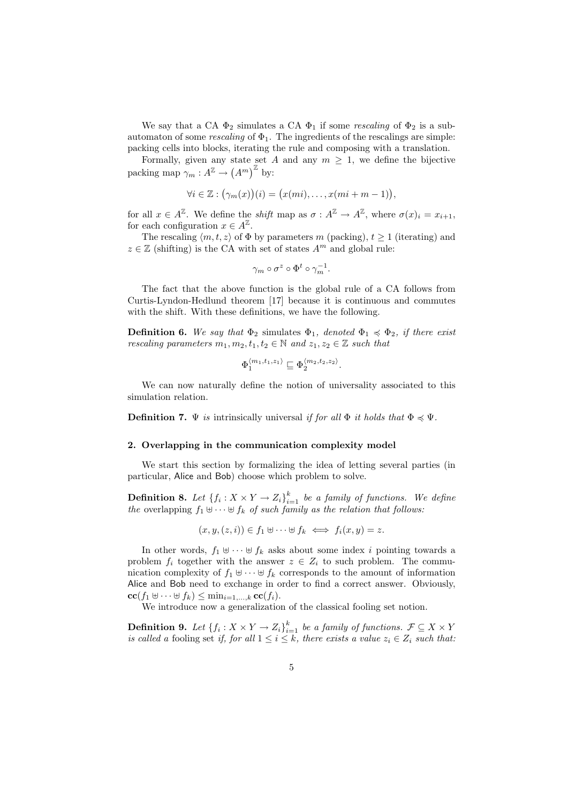We say that a CA  $\Phi_2$  simulates a CA  $\Phi_1$  if some *rescaling* of  $\Phi_2$  is a subautomaton of some *rescaling* of  $\Phi_1$ . The ingredients of the rescalings are simple: packing cells into blocks, iterating the rule and composing with a translation.

Formally, given any state set *A* and any  $m \geq 1$ , we define the bijective packing map  $\gamma_m: A^{\mathbb{Z}} \to (A^m)^{\mathbb{Z}}$  by:

$$
\forall i \in \mathbb{Z} : (\gamma_m(x))(i) = (x(mi), \dots, x(mi+m-1)),
$$

for all  $x \in A^{\mathbb{Z}}$ . We define the *shift* map as  $\sigma : A^{\mathbb{Z}} \to A^{\mathbb{Z}}$ , where  $\sigma(x)_i = x_{i+1}$ , for each configuration  $x \in A^{\mathbb{Z}}$ .

The rescaling  $\langle m, t, z \rangle$  of  $\Phi$  by parameters  $m$  (packing),  $t \geq 1$  (iterating) and  $z \in \mathbb{Z}$  (shifting) is the CA with set of states  $A^m$  and global rule:

$$
\gamma_m \circ \sigma^z \circ \Phi^t \circ \gamma_m^{-1}.
$$

The fact that the above function is the global rule of a CA follows from Curtis-Lyndon-Hedlund theorem [17] because it is continuous and commutes with the shift. With these definitions, we have the following.

**Definition 6.** We say that  $\Phi_2$  simulates  $\Phi_1$ , denoted  $\Phi_1 \preccurlyeq \Phi_2$ , if there exist *rescaling parameters*  $m_1, m_2, t_1, t_2 \in \mathbb{N}$  and  $z_1, z_2 \in \mathbb{Z}$  such that

$$
\Phi_1^{\langle m_1,t_1,z_1\rangle}\sqsubseteq\Phi_2^{\langle m_2,t_2,z_2\rangle}.
$$

We can now naturally define the notion of universality associated to this simulation relation.

**Definition 7.**  $\Psi$  *is* intrinsically universal *if for all*  $\Phi$  *it holds that*  $\Phi \preccurlyeq \Psi$ *.* 

### **2. Overlapping in the communication complexity model**

We start this section by formalizing the idea of letting several parties (in particular, Alice and Bob) choose which problem to solve.

**Definition 8.** Let  $\{f_i: X \times Y \to Z_i\}_{i=1}^k$  be a family of functions. We define *the* overlapping  $f_1 \oplus \cdots \oplus f_k$  *of such family as the relation that follows:* 

$$
(x, y, (z, i)) \in f_1 \uplus \cdots \uplus f_k \iff f_i(x, y) = z.
$$

In other words,  $f_1 \,\,\forall \,\cdots \,\forall f_k$  asks about some index *i* pointing towards a problem  $f_i$  together with the answer  $z \in Z_i$  to such problem. The communication complexity of  $f_1 \oplus \cdots \oplus f_k$  corresponds to the amount of information Alice and Bob need to exchange in order to find a correct answer. Obviously, **cc**(*f*<sup>1</sup> *⊎ · · · ⊎ fk*) *≤* min*i*=1*,...,k* **cc**(*fi*).

We introduce now a generalization of the classical fooling set notion.

**Definition 9.** *Let*  $\{f_i: X \times Y \to Z_i\}_{i=1}^k$  *be a family of functions.*  $\mathcal{F} \subseteq X \times Y$ *is called a fooling set if, for all*  $1 \leq i \leq k$ *, there exists a value*  $z_i \in Z_i$  *such that:*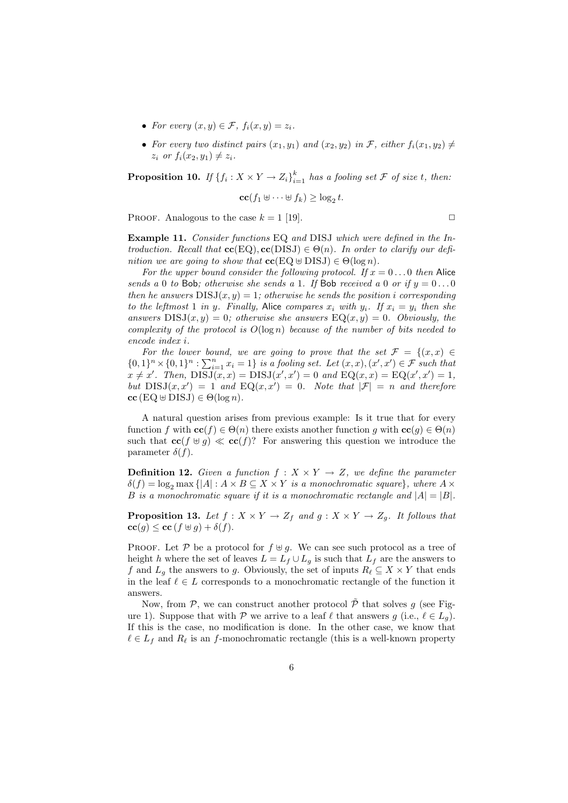- For every  $(x, y) \in \mathcal{F}$ ,  $f_i(x, y) = z_i$ .
- For every two distinct pairs  $(x_1, y_1)$  and  $(x_2, y_2)$  in *F*, either  $f_i(x_1, y_2) \neq$  $z_i$  *or*  $f_i(x_2, y_1) \neq z_i$ *.*

**Proposition 10.** *If*  $\{f_i: X \times Y \to Z_i\}_{i=1}^k$  *has a fooling set*  $\mathcal F$  *of size t, then:* 

$$
\mathbf{cc}(f_1 \uplus \dots \uplus f_k) \ge \log_2 t.
$$

PROOF. Analogous to the case  $k = 1$  [19].  $\Box$ 

**Example 11.** *Consider functions* EQ *and* DISJ *which were defined in the Introduction.* Recall that  $\mathbf{cc}(EQ)$ ,  $\mathbf{cc}(DISJ) \in \Theta(n)$ . In order to clarify our defi*nition we are going to show that*  $\mathbf{cc}(EQ \oplus DISJ) \in \Theta(\log n)$ *.* 

For the upper bound consider the following protocol. If  $x = 0...0$  then Alice *sends a* 0 *to* Bob; *otherwise she sends a* 1*.* If Bob *received a* 0 *or if*  $y = 0 \dots 0$ *then he answers*  $DISJ(x, y) = 1$ *; otherwise he sends the position i corresponding to the leftmost* 1 *in y.* Finally, Alice *compares*  $x_i$  *with*  $y_i$ *.* If  $x_i = y_i$  *then she answers*  $DISJ(x, y) = 0$ *; otherwise she answers*  $EQ(x, y) = 0$ *. Obviously, the complexity of the protocol is O*(log *n*) *because of the number of bits needed to encode index i.*

*For the lower bound, we are going to prove that the set*  $\mathcal{F} = \{(x, x) \in$  $\{0,1\}^n \times \{0,1\}^n : \sum_{i=1}^n x_i = 1\}$  is a fooling set. Let  $(x, x), (x', x') \in \mathcal{F}$  such that  $x \neq x'$ . Then,  $\overline{DISJ}(x, x) = \overline{DISJ}(x', x') = 0$  and  $\overline{EQ}(x, x) = \overline{EQ}(x', x') = 1$ , *but*  $DISJ(x, x') = 1$  *and*  $EQ(x, x') = 0$ *. Note that*  $|\mathcal{F}| = n$  *and therefore*  $\mathbf{cc}$  (EQ  $\uplus$  DISJ)  $\in \Theta(\log n)$ *.* 

A natural question arises from previous example: Is it true that for every function *f* with  $\mathbf{cc}(f) \in \Theta(n)$  there exists another function *g* with  $\mathbf{cc}(g) \in \Theta(n)$ such that  $\mathbf{c}(\mathbf{f} \oplus \mathbf{g}) \ll \mathbf{c}(\mathbf{f})$ ? For answering this question we introduce the parameter  $\delta(f)$ .

**Definition 12.** *Given a function*  $f: X \times Y \rightarrow Z$ *, we define the parameter*  $\delta(f) = \log_2 \max \{|A| : A \times B \subseteq X \times Y \text{ is a monochromatic square}\},\text{ where } A \times B \subseteq X \times Y$ *B* is a monochromatic square if it is a monochromatic rectangle and  $|A| = |B|$ .

**Proposition 13.** Let  $f: X \times Y \to Z_f$  and  $g: X \times Y \to Z_g$ . It follows that  $c\mathbf{c}(q) \leq c\mathbf{c}(f \oplus q) + \delta(f).$ 

PROOF. Let  $P$  be a protocol for  $f \oplus g$ . We can see such protocol as a tree of height *h* where the set of leaves  $L = L_f \cup L_g$  is such that  $L_f$  are the answers to *f* and  $L_g$  the answers to *g*. Obviously, the set of inputs  $R_\ell \subseteq X \times Y$  that ends in the leaf  $\ell \in L$  corresponds to a monochromatic rectangle of the function it answers.

Now, from  $P$ , we can construct another protocol  $\tilde{P}$  that solves *g* (see Figure 1). Suppose that with  $P$  we arrive to a leaf  $\ell$  that answers  $g$  (i.e.,  $\ell \in L_q$ ). If this is the case, no modification is done. In the other case, we know that  $\ell \in L_f$  and  $R_{\ell}$  is an *f*-monochromatic rectangle (this is a well-known property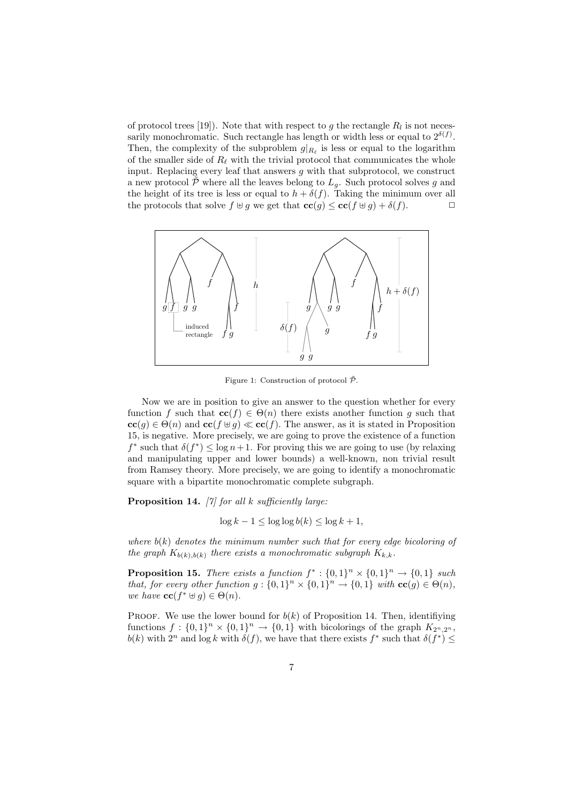of protocol trees [19]). Note that with respect to  $g$  the rectangle  $R_l$  is not necessarily monochromatic. Such rectangle has length or width less or equal to  $2^{\delta(f)}$ . Then, the complexity of the subproblem  $g|_{R_\ell}$  is less or equal to the logarithm of the smaller side of  $R_\ell$  with the trivial protocol that communicates the whole input. Replacing every leaf that answers *g* with that subprotocol, we construct a new protocol  $\tilde{\mathcal{P}}$  where all the leaves belong to  $L_g$ . Such protocol solves g and the height of its tree is less or equal to  $h + \delta(f)$ . Taking the minimum over all the protocols that solve  $f \oplus q$  we get that  $\mathbf{cc}(q) \leq \mathbf{cc}(f \oplus q) + \delta(f)$ .



Figure 1: Construction of protocol  $\tilde{\mathcal{P}}$ .

Now we are in position to give an answer to the question whether for every function *f* such that  $\mathbf{cc}(f) \in \Theta(n)$  there exists another function *g* such that  $cc(g) \in \Theta(n)$  and  $cc(f \oplus g) \ll cc(f)$ . The answer, as it is stated in Proposition 15, is negative. More precisely, we are going to prove the existence of a function  $f^*$  such that  $\delta(f^*) \leq \log n + 1$ . For proving this we are going to use (by relaxing and manipulating upper and lower bounds) a well-known, non trivial result from Ramsey theory. More precisely, we are going to identify a monochromatic square with a bipartite monochromatic complete subgraph.

**Proposition 14.** *[7] for all k sufficiently large:*

$$
\log k - 1 \le \log \log b(k) \le \log k + 1,
$$

*where*  $b(k)$  *denotes the minimum number such that for every edge bicoloring of the graph*  $K_{b(k),b(k)}$  *there exists a monochromatic subgraph*  $K_{k,k}$ *.* 

**Proposition 15.** *There exists a function*  $f^*$ :  $\{0,1\}^n \times \{0,1\}^n \rightarrow \{0,1\}$  *such that, for every other function*  $g: \{0,1\}^n \times \{0,1\}^n \to \{0,1\}$  *with*  $\mathbf{cc}(g) \in \Theta(n)$ *, we have*  $\mathbf{cc}(f^* \oplus g) \in \Theta(n)$ *.* 

PROOF. We use the lower bound for  $b(k)$  of Proposition 14. Then, identifiying functions  $f: \{0,1\}^n \times \{0,1\}^n \to \{0,1\}$  with bicolorings of the graph  $K_{2^n,2^n}$ , *b*(*k*) with  $2^n$  and  $\log k$  with  $\delta(f)$ , we have that there exists  $f^*$  such that  $\delta(f^*) \leq$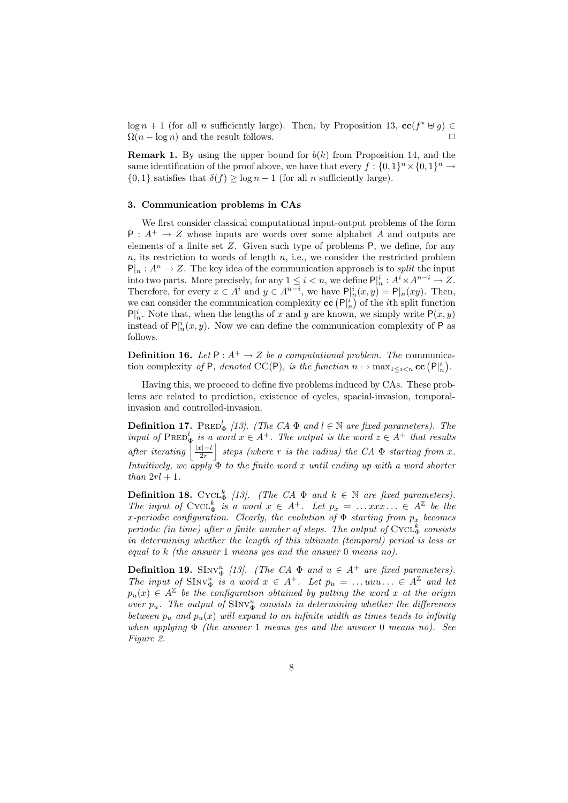$\log n + 1$  (for all *n* sufficiently large). Then, by Proposition 13,  $\mathbf{cc}(f^* \oplus g) \in$  $\Omega(n - \log n)$  and the result follows.  $\Box$ 

**Remark 1.** By using the upper bound for  $b(k)$  from Proposition 14, and the same identification of the proof above, we have that every  $f : \{0,1\}^n \times \{0,1\}^n \to$ *{*0*,* 1*}* satisfies that  $\delta(f)$  *≥* log *n* − 1 (for all *n* sufficiently large).

### **3. Communication problems in CAs**

We first consider classical computational input-output problems of the form  $P : A^+ \to Z$  whose inputs are words over some alphabet *A* and outputs are elements of a finite set *Z*. Given such type of problems P, we define, for any *n*, its restriction to words of length *n*, i.e., we consider the restricted problem  $P|_{n}: A^{n} \to Z$ . The key idea of the communication approach is to *split* the input into two parts. More precisely, for any  $1 \leq i < n$ , we define  $\mathsf{P}^{\mid i}_{n} : A^{i} \times A^{n-i} \to Z$ . Therefore, for every  $x \in A^i$  and  $y \in A^{n-i}$ , we have  $P|_n^i(x, y) = P|_n(xy)$ . Then, we can consider the communication complexity  $\mathbf{cc}(\mathsf{P}_{n}^i)$  of the *i*th split function  $P|_n^i$ . Note that, when the lengths of *x* and *y* are known, we simply write  $P(x, y)$ instead of  $P|_n^i(x, y)$ . Now we can define the communication complexity of P as follows.

**Definition 16.** *Let*  $P: A^+ \to Z$  *be a computational problem. The* communication complexity *of* P*, denoted* CC(P)*, is the function*  $n \mapsto \max_{1 \leq i < n}$ **cc**  $(P|_n^i)$ .

Having this, we proceed to define five problems induced by CAs. These problems are related to prediction, existence of cycles, spacial-invasion, temporalinvasion and controlled-invasion.

**Definition 17.** PRED<sup>*l*</sup><sub> $\Phi$ </sub> [13]. (The CA  $\Phi$  and  $l \in \mathbb{N}$  are fixed parameters). The *input of*  $\text{PRED}_{\Phi}^l$  *is a word*  $x \in A^+$ *. The output is the word*  $z \in A^+$  *that results*  $a$ *fter iterating*  $\frac{|x|-l}{2r}$  $\left| \right.$  *steps (where*  $\overline{r}$  *is the radius) the CA*  $\Phi$  *starting from*  $\overline{x}$ *. Intuitively, we apply*  $\Phi$  *to the finite word x until ending up with a word shorter than*  $2rl + 1$ *.* 

**Definition 18.** Cycl<sup>k</sup><sub> $\Phi$ </sub> [13]. (The CA  $\Phi$  and  $k \in \mathbb{N}$  are fixed parameters). *The input of* Cycl<sub> $\Phi$ </sub><sup>*is a word*  $x \in A^+$ *. Let*  $p_x = \ldots x \, x \, \ldots \in A^{\mathbb{Z}}$  be the</sup> *x-periodic configuration. Clearly, the evolution of* Φ *starting from p<sup>x</sup> becomes periodic (in time) after a finite number of steps. The output of*  $CycL^k$  *consists in determining whether the length of this ultimate (temporal) period is less or equal to k (the answer* 1 *means yes and the answer* 0 *means no).*

**Definition 19.** SINV<sup>u</sup><sub> $\Phi$ </sub> [13]. (The CA  $\Phi$  and  $u \in A^+$  are fixed parameters). *The input of*  $\text{SInv}_{\Phi}^u$  *is a word*  $x \in A^+$ *. Let*  $p_u = \ldots uu \ldots \in A^{\mathbb{Z}}$  and let  $p_u(x) \in A^{\mathbb{Z}}$  be the configuration obtained by putting the word  $x$  at the origin *over*  $p_u$ . The output of  $\text{SInv}_{\Phi}^u$  consists in determining whether the differences *between*  $p_u$  *and*  $p_u(x)$  *will expand to an infinite width as times tends to infinity when applying* Φ *(the answer* 1 *means yes and the answer* 0 *means no). See Figure 2.*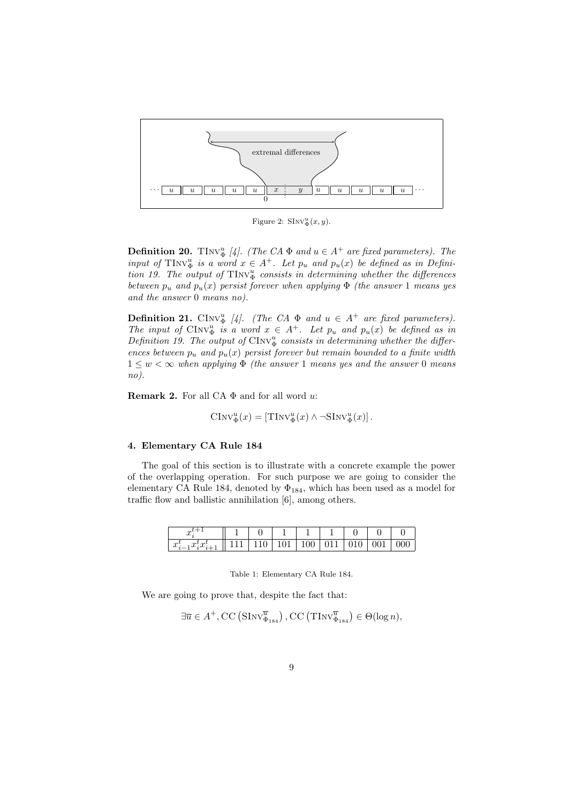

Figure 2:  $\text{SInv}_{\Phi}^u(x, y)$ .

**Definition 20.** TInv<sup>u</sup><sub> $\Phi$ </sub> [4]. (The CA  $\Phi$  and  $u \in A^+$  are fixed parameters). The *input of*  $\text{TInv}_{\Phi}^u$  *is a word*  $x \in A^+$ *. Let*  $p_u$  *and*  $p_u(x)$  *be defined as in Definition 19. The output of*  $TINV_{\Phi}^u$  *consists in determining whether the differences between*  $p_u$  *and*  $p_u(x)$  *persist forever when applying*  $\Phi$  *(the answer* 1 *means yes and the answer* 0 *means no).*

**Definition 21.** CINV<sup>u</sup><sub> $\Phi$ </sub> [4]. (The CA  $\Phi$  and  $u \in A^+$  are fixed parameters). *The input of*  $\text{CInv}_{\Phi}^u$  *is a word*  $x \in A^+$ *. Let*  $p_u$  *and*  $p_u(x)$  *be defined as in Definition 19. The output of*  $\text{CInv}_{\Phi}^u$  *consists in determining whether the differences between*  $p_u$  *and*  $p_u(x)$  *persist forever but remain bounded to a finite width*  $1 \leq w < \infty$  when applying  $\Phi$  *(the answer* 1 *means yes and the answer* 0 *means no).*

**Remark 2.** For all CA Φ and for all word *u*:

$$
CInv_{\Phi}^{u}(x) = [TInv_{\Phi}^{u}(x) \wedge \neg \text{SInv}_{\Phi}^{u}(x)].
$$

# **4. Elementary CA Rule 184**

The goal of this section is to illustrate with a concrete example the power of the overlapping operation. For such purpose we are going to consider the elementary CA Rule 184, denoted by  $\Phi_{184}$ , which has been used as a model for traffic flow and ballistic annihilation [6], among others.

| $\sim$<br>w                                             |   |                         |                          |              |        |             |  |
|---------------------------------------------------------|---|-------------------------|--------------------------|--------------|--------|-------------|--|
| $\sim$<br>$\sim$<br>$\omega$<br>$\overline{\mathbf{v}}$ | ◡ | $\sim$ $\sim$<br>ᅩ<br>- | $\circ\circ$<br><b>.</b> | -<br>◡<br>-- | ິ<br>◡ | ◡<br>ັ<br>- |  |

Table 1: Elementary CA Rule 184.

We are going to prove that, despite the fact that:

$$
\exists \overline{u} \in A^+, \mathrm{CC}\left(\mathrm{SInv}_{\Phi_{184}}^{\overline{u}}\right), \mathrm{CC}\left(\mathrm{TInv}_{\Phi_{184}}^{\overline{u}}\right) \in \Theta(\log n),
$$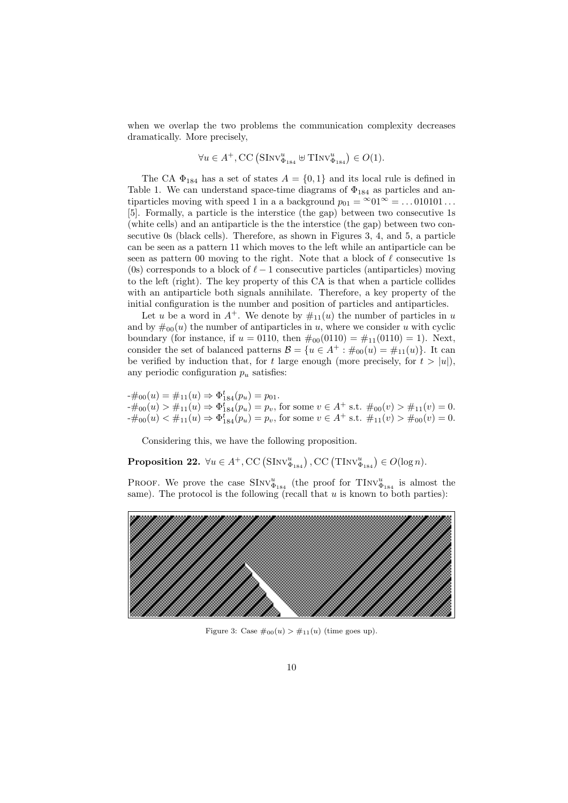when we overlap the two problems the communication complexity decreases dramatically. More precisely,

$$
\forall u \in A^+, \mathsf{CC}\left(\mathsf{SInv}_{\Phi_{184}}^u \oplus \mathsf{TInv}_{\Phi_{184}}^u\right) \in O(1).
$$

The CA  $\Phi_{184}$  has a set of states  $A = \{0, 1\}$  and its local rule is defined in Table 1. We can understand space-time diagrams of  $\Phi_{184}$  as particles and antiparticles moving with speed 1 in a a background  $p_{01} = \infty 01^{\infty} = \dots 010101 \dots$ [5]. Formally, a particle is the interstice (the gap) between two consecutive 1s (white cells) and an antiparticle is the the interstice (the gap) between two consecutive 0s (black cells). Therefore, as shown in Figures 3, 4, and 5, a particle can be seen as a pattern 11 which moves to the left while an antiparticle can be seen as pattern 00 moving to the right. Note that a block of *ℓ* consecutive 1s (0s) corresponds to a block of  $\ell - 1$  consecutive particles (antiparticles) moving to the left (right). The key property of this CA is that when a particle collides with an antiparticle both signals annihilate. Therefore, a key property of the initial configuration is the number and position of particles and antiparticles.

Let *u* be a word in  $A^+$ . We denote by  $\#_{11}(u)$  the number of particles in *u* and by  $\#_{00}(u)$  the number of antiparticles in *u*, where we consider *u* with cyclic boundary (for instance, if  $u = 0110$ , then  $\#_{00}(0110) = \#_{11}(0110) = 1$ ). Next, consider the set of balanced patterns  $\mathcal{B} = \{u \in A^+ : \#_{00}(u) = \#_{11}(u)\}\.$  It can be verified by induction that, for *t* large enough (more precisely, for  $t > |u|$ ), any periodic configuration  $p_u$  satisfies:

 $-\#_{00}(u) = \#_{11}(u) \Rightarrow \Phi_{184}^{t}(p_u) = p_{01}.$  $-\#_{00}(u) > \#_{11}(u) \Rightarrow \Phi_{184}^{t}(p_u) = p_v$ , for some  $v \in A^+$  s.t.  $\#_{00}(v) > \#_{11}(v) = 0$ .  $-\text{\#}_{00}(u) < \text{\#}_{11}(u) \Rightarrow \Phi_{184}^{t}(p_u) = p_v$ , for some  $v \in A^+$  s.t.  $\text{\#}_{11}(v) > \text{\#}_{00}(v) = 0$ .

Considering this, we have the following proposition.

**Proposition 22.**  $\forall u \in A^+, \mathsf{CC}\left(\mathsf{SInv}_{\Phi_{184}}^u\right), \mathsf{CC}\left(\mathsf{TInv}_{\Phi_{184}}^u\right) \in O(\log n).$ 

PROOF. We prove the case  $\text{SInv}_{\Phi_{184}}^u$  (the proof for  $\text{TInv}_{\Phi_{184}}^u$  is almost the same). The protocol is the following (recall that *u* is known to both parties):



Figure 3: Case  $\#_{00}(u) > \#_{11}(u)$  (time goes up).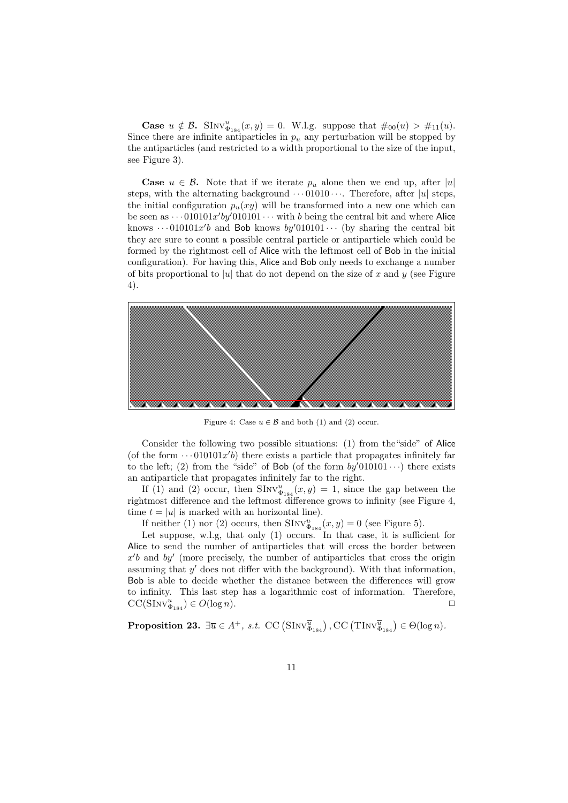**Case**  $u \notin \mathcal{B}$ **.** SINV $_{\Phi_{184}}^{u}(x, y) = 0$ . W.l.g. suppose that  $\#_{00}(u) > \#_{11}(u)$ . Since there are infinite antiparticles in  $p_u$  any perturbation will be stopped by the antiparticles (and restricted to a width proportional to the size of the input, see Figure 3).

**Case**  $u \in \mathcal{B}$ . Note that if we iterate  $p_u$  alone then we end up, after  $|u|$ steps, with the alternating background  $\cdots$  01010 $\cdots$ . Therefore, after |*u*| steps. the initial configuration  $p_u(xy)$  will be transformed into a new one which can be seen as  $\cdots$  010101*x'by* $\prime$ 010101 $\cdots$  with *b* being the central bit and where Alice knows  $\cdots$  010101*x'b* and Bob knows  $by'$ 010101 $\cdots$  (by sharing the central bit they are sure to count a possible central particle or antiparticle which could be formed by the rightmost cell of Alice with the leftmost cell of Bob in the initial configuration). For having this, Alice and Bob only needs to exchange a number of bits proportional to |*u*| that do not depend on the size of *x* and *y* (see Figure 4).



Figure 4: Case  $u \in \mathcal{B}$  and both (1) and (2) occur.

Consider the following two possible situations: (1) from the"side" of Alice (of the form  $\cdots$  010101 $x'$ *b*) there exists a particle that propagates infinitely far to the left; (2) from the "side" of Bob (of the form  $by'010101 \cdots$ ) there exists an antiparticle that propagates infinitely far to the right.

If (1) and (2) occur, then  $\text{SInv}_{\Phi_{184}}^u(x,y) = 1$ , since the gap between the rightmost difference and the leftmost difference grows to infinity (see Figure 4, time  $t = |u|$  is marked with an horizontal line).

If neither (1) nor (2) occurs, then  $\text{SInv}_{\Phi_{184}}^u(x,y) = 0$  (see Figure 5).

Let suppose, w.l.g, that only (1) occurs. In that case, it is sufficient for Alice to send the number of antiparticles that will cross the border between *x ′ b* and *by′* (more precisely, the number of antiparticles that cross the origin assuming that *y ′* does not differ with the background). With that information, Bob is able to decide whether the distance between the differences will grow to infinity. This last step has a logarithmic cost of information. Therefore,  $CC(SInv_{\Phi_{184}}^u) \in O(\log n).$ 

**Proposition 23.**  $\exists \overline{u} \in A^+, s.t. \ \operatorname{CC}(\operatorname{SInv}_{\Phi_{184}}^{\overline{u}})$ ,  $\operatorname{CC}(\operatorname{TInv}_{\Phi_{184}}^{\overline{u}}) \in \Theta(\log n)$ *.*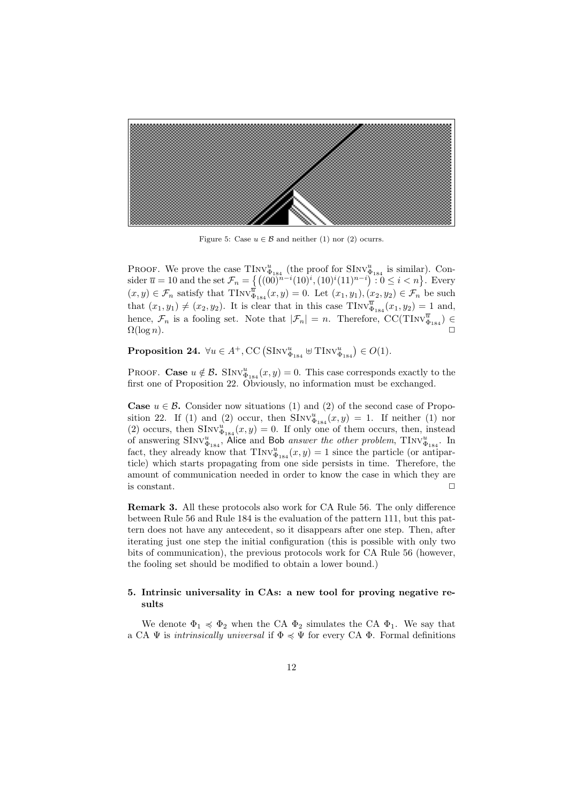

Figure 5: Case  $u \in \mathcal{B}$  and neither (1) nor (2) ocurrs.

PROOF. We prove the case  $\text{TInv}_{\Phi_{184}}^u$  (the proof for  $\text{SInv}_{\Phi_{184}}^u$  is similar). Con- $\text{sider } \overline{u} = 10 \text{ and the set } \mathcal{F}_n = \left\{ \left( (00)^{n-1} (10)^i, (10)^i (11)^{n-i} \right) : 0 \le i \le n \right\}.$  Every  $(x, y) \in \mathcal{F}_n$  satisfy that  $\text{TInv}_{\Phi_{184}}^{\overline{u}}(x, y) = 0$ . Let  $(x_1, y_1), (x_2, y_2) \in \mathcal{F}_n$  be such that  $(x_1, y_1) \neq (x_2, y_2)$ . It is clear that in this case  $\text{TInv}_{\Phi_{184}}^{\overline{u}}(x_1, y_2) = 1$  and, hence,  $\mathcal{F}_n$  is a fooling set. Note that  $|\mathcal{F}_n| = n$ . Therefore, CC(TINV $\overline{\Phi}_{184}^{\overline{u}}$ )  $\in$  $\Omega(\log n)$ .

**Proposition 24.**  $\forall u \in A^+, \mathsf{CC}\left(\mathsf{SInv}_{\Phi_{184}}^u \oplus \mathsf{TInv}_{\Phi_{184}}^u\right) \in O(1)$ *.* 

PROOF. **Case**  $u \notin \mathcal{B}$ . SINV $_{\Phi_{184}}^{u}(x, y) = 0$ . This case corresponds exactly to the first one of Proposition 22. Obviously, no information must be exchanged.

**Case**  $u \in \mathcal{B}$ **.** Consider now situations (1) and (2) of the second case of Proposition 22. If (1) and (2) occur, then  $\text{SInv}_{\Phi_{184}}^u(x,y) = 1$ . If neither (1) nor (2) occurs, then  $\text{SInv}_{\Phi_{184}}^u(x,y) = 0$ . If only one of them occurs, then, instead of answering  $\text{SInv}_{\Phi_{184}}^u$ , Alice and Bob *answer the other problem*,  $\text{TInv}_{\Phi_{184}}^u$ . In fact, they already know that  $\text{TInv}_{\Phi_{184}}^u(x,y) = 1$  since the particle (or antiparticle) which starts propagating from one side persists in time. Therefore, the amount of communication needed in order to know the case in which they are is constant.  $\Box$ 

**Remark 3.** All these protocols also work for CA Rule 56. The only difference between Rule 56 and Rule 184 is the evaluation of the pattern 111, but this pattern does not have any antecedent, so it disappears after one step. Then, after iterating just one step the initial configuration (this is possible with only two bits of communication), the previous protocols work for CA Rule 56 (however, the fooling set should be modified to obtain a lower bound.)

# **5. Intrinsic universality in CAs: a new tool for proving negative results**

We denote  $\Phi_1 \preccurlyeq \Phi_2$  when the CA  $\Phi_2$  simulates the CA  $\Phi_1$ . We say that a CA  $\Psi$  is *intrinsically universal* if  $\Phi \preccurlyeq \Psi$  for every CA  $\Phi$ . Formal definitions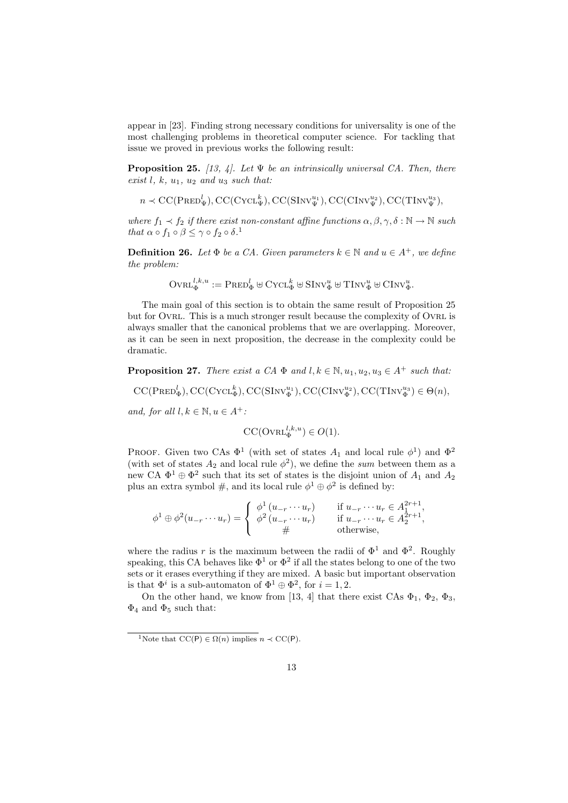appear in [23]. Finding strong necessary conditions for universality is one of the most challenging problems in theoretical computer science. For tackling that issue we proved in previous works the following result:

**Proposition 25.** *[13, 4]. Let* Ψ *be an intrinsically universal CA. Then, there exist l, k, u*1*, u*<sup>2</sup> *and u*<sup>3</sup> *such that:*

$$
n \prec \mathrm{CC}(\mathrm{PRED}^l_{\Psi}), \mathrm{CC}(\mathrm{CYCL}^k_{\Psi}), \mathrm{CC}(\mathrm{SInv}^{u_1}_{\Psi}), \mathrm{CC}(\mathrm{CInv}^{u_2}_{\Psi}), \mathrm{CC}(\mathrm{TNV}^{u_3}_{\Psi}),
$$

*where*  $f_1 \prec f_2$  *if there exist non-constant affine functions*  $\alpha, \beta, \gamma, \delta : \mathbb{N} \to \mathbb{N}$  *such that*  $\alpha \circ f_1 \circ \beta \leq \gamma \circ f_2 \circ \delta$ <sup>1</sup>

**Definition 26.** *Let*  $\Phi$  *be a CA. Given parameters*  $k \in \mathbb{N}$  *and*  $u \in A^+$ *, we define the problem:*

$$
\text{Ovr}_{\Phi}^{l,k,u}:= \text{Pred}_{\Phi}^{l} \uplus \text{CYct}_{\Phi}^{k} \uplus \text{SInv}_{\Phi}^{u} \uplus \text{TInv}_{\Phi}^{u} \uplus \text{CInv}_{\Phi}^{u}.
$$

The main goal of this section is to obtain the same result of Proposition 25 but for OVRL. This is a much stronger result because the complexity of OVRL is always smaller that the canonical problems that we are overlapping. Moreover, as it can be seen in next proposition, the decrease in the complexity could be dramatic.

**Proposition 27.** *There exist a CA*  $\Phi$  *and*  $l, k \in \mathbb{N}, u_1, u_2, u_3 \in A^+$  *such that:* 

 $CC(PRED^l_{\Phi})$ ,  $CC(CYCL^k_{\Phi})$ ,  $CC(SINV^{{u_1}}_{\Phi})$ ,  $CC(CINV^{{u_2}}_{\Phi})$ ,  $CC(TINV^{{u_3}}_{\Phi}) \in \Theta(n)$ ,

*and, for all*  $l, k \in \mathbb{N}, u \in A^+$ :

$$
\mathrm{CC}(\mathrm{Oval}_{\Phi}^{l,k,u}) \in O(1).
$$

PROOF. Given two CAs  $\Phi^1$  (with set of states  $A_1$  and local rule  $\phi^1$ ) and  $\Phi^2$ (with set of states  $A_2$  and local rule  $\phi^2$ ), we define the *sum* between them as a new CA  $\Phi^1 \oplus \Phi^2$  such that its set of states is the disjoint union of  $A_1$  and  $A_2$ plus an extra symbol  $\#$ , and its local rule  $\phi^1 \oplus \phi^2$  is defined by:

$$
\phi^1 \oplus \phi^2(u_{-r} \cdots u_r) = \begin{cases} \phi^1(u_{-r} \cdots u_r) & \text{if } u_{-r} \cdots u_r \in A_1^{2r+1}, \\ \phi^2(u_{-r} \cdots u_r) & \text{if } u_{-r} \cdots u_r \in A_2^{2r+1}, \\ \# & \text{otherwise}, \end{cases}
$$

where the radius r is the maximum between the radii of  $\Phi$ <sup>1</sup> and  $\Phi$ <sup>2</sup>. Roughly speaking, this CA behaves like  $\Phi^1$  or  $\Phi^2$  if all the states belong to one of the two sets or it erases everything if they are mixed. A basic but important observation is that  $\Phi^i$  is a sub-automaton of  $\Phi^1 \oplus \Phi^2$ , for  $i = 1, 2$ .

On the other hand, we know from [13, 4] that there exist CAs  $\Phi_1$ ,  $\Phi_2$ ,  $\Phi_3$ ,  $\Phi_4$  and  $\Phi_5$  such that:

<sup>&</sup>lt;sup>1</sup>Note that  $\mathrm{CC}(\mathsf{P}) \in \Omega(n)$  implies  $n \prec \mathrm{CC}(\mathsf{P})$ .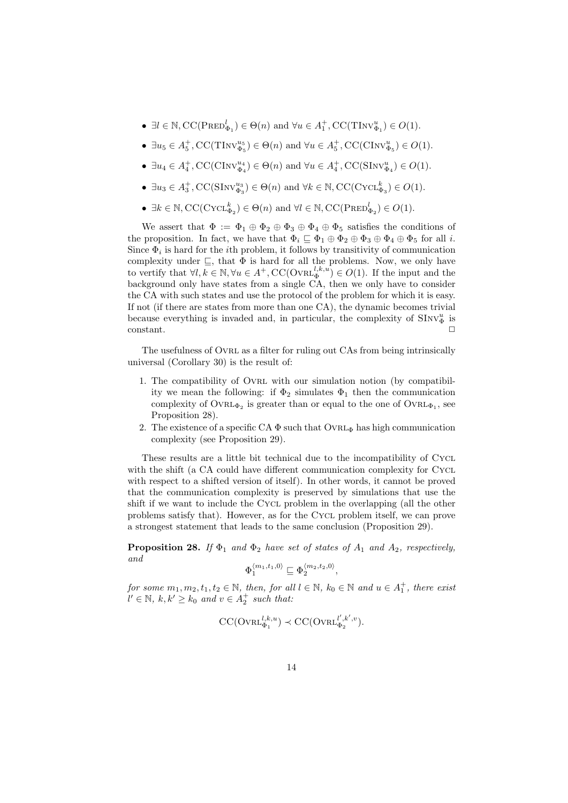- $\bullet$  ∃*l* ∈ N, CC(PRED<sup>*l*</sup><sub> $\Phi_1$ </sub>) ∈  $\Theta(n)$  and  $\forall u \in A_1^+$ , CC(TINV<sup>*u*</sup><sub> $\Phi_1$ </sub>) ∈  $O(1)$ .
- $\bullet$   $\exists u_5 \in A_5^+, \text{CC}(\text{TInv}_{\Phi_5}^{u_5}) \in \Theta(n)$  and  $\forall u \in A_5^+, \text{CC}(\text{CInv}_{\Phi_5}^{u}) \in O(1)$ .
- $\bullet$   $\exists u_4 \in A_4^+, \text{CC}(\text{CInv}_{\Phi_4}^{u_4}) \in \Theta(n)$  and  $\forall u \in A_4^+, \text{CC}(\text{SInv}_{\Phi_4}^{u}) \in O(1)$ .
- $\bullet$   $\exists u_3 \in A_3^+$ , CC(SINV<sup>u<sub>43</sub></sup>)  $\in \Theta(n)$  and  $\forall k \in \mathbb{N}$ , CC(CYCL<sup>k</sup><sub>43</sub>)  $\in O(1)$ .
- $\bullet$   $\exists k \in \mathbb{N}, \text{CC}(\text{CYCL}_{\Phi_2}^k) \in \Theta(n)$  and  $\forall l \in \mathbb{N}, \text{CC}(\text{PRED}_{\Phi_2}^l) \in O(1)$ .

We assert that  $\Phi := \Phi_1 \oplus \Phi_2 \oplus \Phi_3 \oplus \Phi_4 \oplus \Phi_5$  satisfies the conditions of the proposition. In fact, we have that  $\Phi_i \subseteq \Phi_1 \oplus \Phi_2 \oplus \Phi_3 \oplus \Phi_4 \oplus \Phi_5$  for all *i*. Since  $\Phi_i$  is hard for the *i*<sup>th</sup> problem, it follows by transitivity of communication complexity under  $\subseteq$ , that  $\Phi$  is hard for all the problems. Now, we only have to vertify that  $\forall l, k \in \mathbb{N}, \forall u \in A^+, \text{CC}(\text{OvRL}_{\Phi}^{l,k,u}) \in O(1)$ . If the input and the background only have states from a single CA, then we only have to consider the CA with such states and use the protocol of the problem for which it is easy. If not (if there are states from more than one CA), the dynamic becomes trivial because everything is invaded and, in particular, the complexity of  $\text{SInv}_{\Phi}^u$  is constant. **□** 

The usefulness of Ovrl as a filter for ruling out CAs from being intrinsically universal (Corollary 30) is the result of:

- 1. The compatibility of Ovrl with our simulation notion (by compatibility we mean the following: if  $\Phi_2$  simulates  $\Phi_1$  then the communication complexity of  $\text{OvRL}_{\Phi_2}$  is greater than or equal to the one of  $\text{OvRL}_{\Phi_1}$ , see Proposition 28).
- 2. The existence of a specific CA  $\Phi$  such that OVRL<sub> $\Phi$ </sub> has high communication complexity (see Proposition 29).

These results are a little bit technical due to the incompatibility of Cycl with the shift (a CA could have different communication complexity for CYCL with respect to a shifted version of itself). In other words, it cannot be proved that the communication complexity is preserved by simulations that use the shift if we want to include the CYCL problem in the overlapping (all the other problems satisfy that). However, as for the CycL problem itself, we can prove a strongest statement that leads to the same conclusion (Proposition 29).

**Proposition 28.** *If*  $\Phi_1$  *and*  $\Phi_2$  *have set of states of*  $A_1$  *and*  $A_2$ *, respectively, and*

$$
\Phi_1^{\langle m_1, t_1, 0 \rangle} \sqsubseteq \Phi_2^{\langle m_2, t_2, 0 \rangle},
$$

*for some*  $m_1, m_2, t_1, t_2 \in \mathbb{N}$ , then, for all  $l \in \mathbb{N}$ ,  $k_0 \in \mathbb{N}$  and  $u \in A_1^+$ , there exist  $l' \in \mathbb{N}, k, k' \geq k_0$  *and*  $v \in A_2^+$  *such that:* 

$$
\mathrm{CC}(\mathrm{OvRL}_{\Phi_1}^{l,k,u}) \prec \mathrm{CC}(\mathrm{OvRL}_{\Phi_2}^{l',k',v}).
$$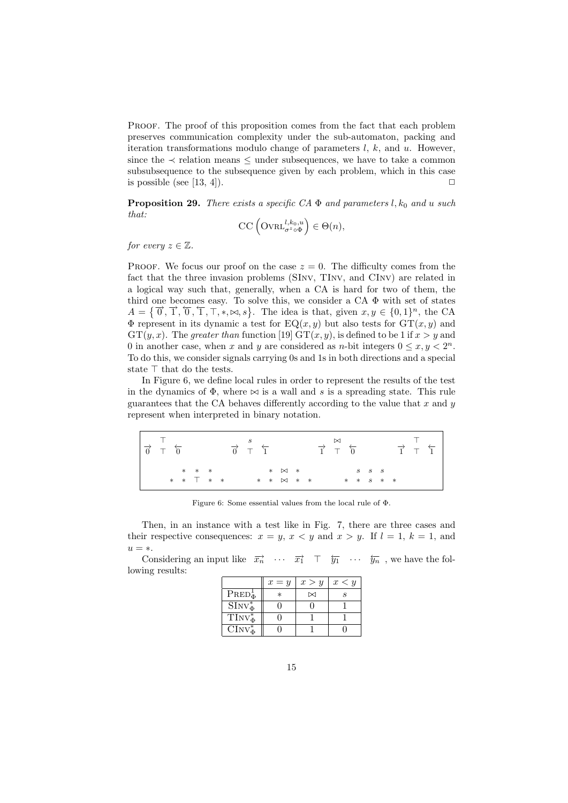Proof. The proof of this proposition comes from the fact that each problem preserves communication complexity under the sub-automaton, packing and iteration transformations modulo change of parameters *l*, *k*, and *u*. However, since the  $\prec$  relation means  $\leq$  under subsequences, we have to take a common subsubsequence to the subsequence given by each problem, which in this case is possible (see [13, 4]).  $\Box$ 

**Proposition 29.** *There exists a specific CA*  $\Phi$  *and parameters l,* $k_0$  *and u such that:*

$$
\mathrm{CC}\left(\mathrm{Oval}_{\sigma^z \circ \Phi}^{l,k_0,u}\right) \in \Theta(n),
$$

*for every*  $z \in \mathbb{Z}$ *.* 

PROOF. We focus our proof on the case  $z = 0$ . The difficulty comes from the fact that the three invasion problems (SInv, TInv, and CInv) are related in a logical way such that, generally, when a CA is hard for two of them, the third one becomes easy. To solve this, we consider a  $CA \Phi$  with set of states  $A = \{\vec{0}, \vec{1}, \vec{0}, \vec{1}, \vec{7}, \dots, \infty\}$ . The idea is that, given  $x, y \in \{0, 1\}^n$ , the CA  $\Phi$  represent in its dynamic a test for  $EQ(x, y)$  but also tests for  $GT(x, y)$  and  $GT(y, x)$ . The *greater than* function [19]  $GT(x, y)$ , is defined to be 1 if  $x > y$  and 0 in another case, when *x* and *y* are considered as *n*-bit integers  $0 \le x, y < 2<sup>n</sup>$ . To do this, we consider signals carrying 0s and 1s in both directions and a special state *⊤* that do the tests.

In Figure 6, we define local rules in order to represent the results of the test in the dynamics of  $\Phi$ , where  $\bowtie$  is a wall and *s* is a spreading state. This rule guarantees that the CA behaves differently according to the value that *x* and *y* represent when interpreted in binary notation.

| $\frac{\partial}{\partial} \vec{r}$ $\frac{\partial}{\partial} \vec{r}$ |  |                             |  | $\vec{0}$ $\vec{1}$ |  |                                                                                                |  | $\begin{array}{ccccc}\n&\bowtie&\\ \downarrow&\tau&\hfill\stackrel{\bowtie}{\leftarrow}\n\end{array}$ |  |             |                                                                                  |  | $\overrightarrow{1}$ $\overrightarrow{1}$ |  |
|-------------------------------------------------------------------------|--|-----------------------------|--|---------------------|--|------------------------------------------------------------------------------------------------|--|-------------------------------------------------------------------------------------------------------|--|-------------|----------------------------------------------------------------------------------|--|-------------------------------------------|--|
|                                                                         |  | $*$ * *<br>$*$ * $\top$ * * |  |                     |  | $*$ $\bowtie$ $*$<br>$\begin{array}{ccccc} \ast & \ast & \mathbb{N} & \ast & \ast \end{array}$ |  |                                                                                                       |  | $S$ $S$ $S$ | $\begin{array}{cccccccccccccc} \ast & \ast & s & \ast & \ast & \ast \end{array}$ |  |                                           |  |

Figure 6: Some essential values from the local rule of Φ.

Then, in an instance with a test like in Fig. 7, there are three cases and their respective consequences:  $x = y$ ,  $x < y$  and  $x > y$ . If  $l = 1$ ,  $k = 1$ , and  $u = *$ .

Considering an input like  $\overrightarrow{x_n}$   $\cdots$   $\overrightarrow{x_1}$   $\top$   $\overleftarrow{y_1}$   $\cdots$   $\overleftarrow{y_n}$ , we have the following results:

|                        | $x = y$ | x > y     | x < y |
|------------------------|---------|-----------|-------|
| $PRED_{\Phi}^{\perp}$  | $\ast$  | $\bowtie$ |       |
| $\text{SInv}_{\Phi}^*$ |         |           |       |
| $TInv_{\Phi}^*$        |         |           |       |
| $\text{CInv}_{\Phi}^*$ |         |           |       |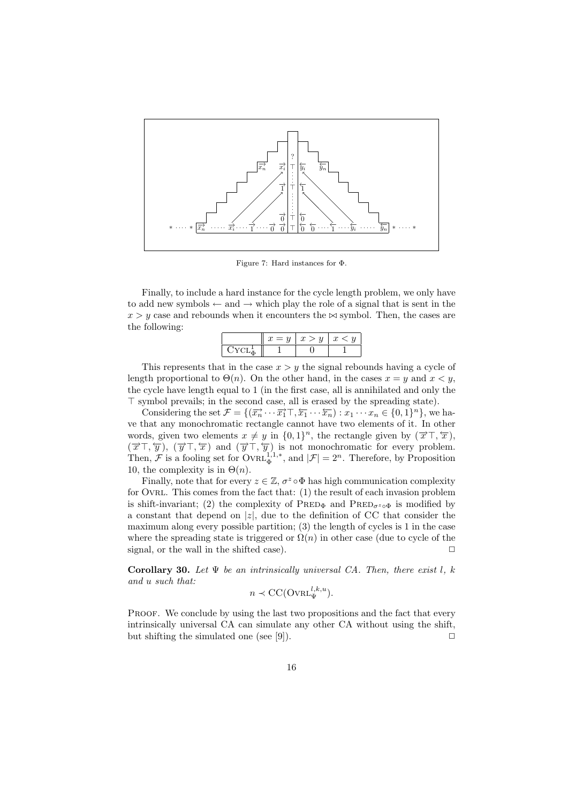

Figure 7: Hard instances for Φ.

Finally, to include a hard instance for the cycle length problem, we only have to add new symbols *←* and *→* which play the role of a signal that is sent in the  $x > y$  case and rebounds when it encounters the  $\bowtie$  symbol. Then, the cases are the following:

|  | $\mathbf{d}$ | $\overline{ }$ |
|--|--------------|----------------|
|  |              |                |

This represents that in the case *x > y* the signal rebounds having a cycle of length proportional to  $\Theta(n)$ . On the other hand, in the cases  $x = y$  and  $x < y$ , the cycle have length equal to 1 (in the first case, all is annihilated and only the *⊤* symbol prevails; in the second case, all is erased by the spreading state).

Considering the set  $\mathcal{F} = \{(\overrightarrow{x_n} \cdots \overrightarrow{x_1} \top, \overleftarrow{x_1} \cdots \overleftarrow{x_n}) : x_1 \cdots x_n \in \{0,1\}^n\}$ , we have that any monochromatic rectangle cannot have two elements of it. In other words, given two elements  $x \neq y$  in  $\{0,1\}^n$ , the rectangle given by  $(\overrightarrow{x}^T, \overleftarrow{x})$ ,  $(\vec{x}^T, \vec{y})$ ,  $(\vec{y}^T, \vec{x})$  and  $(\vec{y}^T, \vec{y})$  is not monochromatic for every problem. Then,  $\mathcal{F}$  is a fooling set for  $\text{OvRL}_{\Phi}^{1,1,*}$ , and  $|\mathcal{F}| = 2^n$ . Therefore, by Proposition 10, the complexity is in  $\Theta(n)$ .

Finally, note that for every  $z \in \mathbb{Z}$ ,  $\sigma^z \circ \Phi$  has high communication complexity for Ovrl. This comes from the fact that: (1) the result of each invasion problem is shift-invariant; (2) the complexity of  $\text{PRED}_{\Phi}$  and  $\text{PRED}_{\sigma^z \circ \Phi}$  is modified by a constant that depend on *|z|*, due to the definition of CC that consider the maximum along every possible partition; (3) the length of cycles is 1 in the case where the spreading state is triggered or  $\Omega(n)$  in other case (due to cycle of the signal, or the wall in the shifted case).  $\Box$ 

**Corollary 30.** Let  $\Psi$  be an intrinsically universal CA. Then, there exist  $l$ ,  $k$ *and u such that:*

$$
n \prec CC(\text{Oval}_{\Psi}^{l,k,u}).
$$

PROOF. We conclude by using the last two propositions and the fact that every intrinsically universal CA can simulate any other CA without using the shift, but shifting the simulated one (see [9]).  $\Box$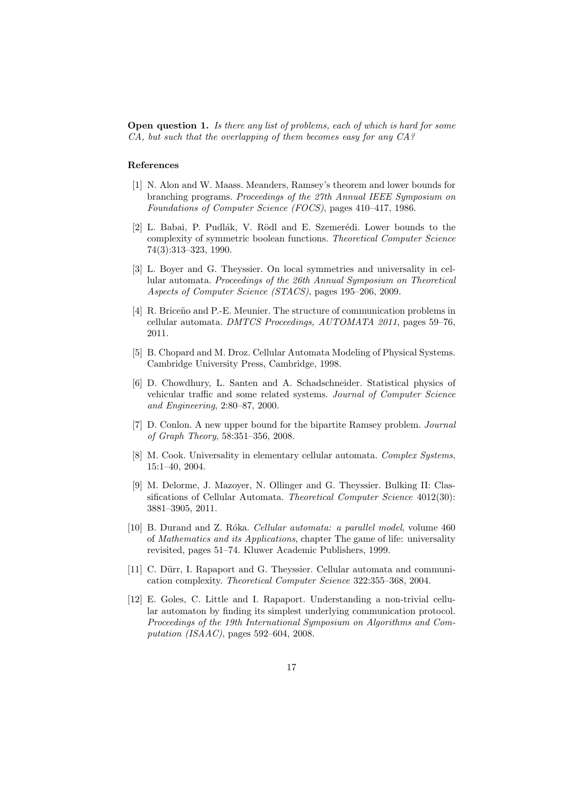**Open question 1.** *Is there any list of problems, each of which is hard for some CA, but such that the overlapping of them becomes easy for any CA?*

#### **References**

- [1] N. Alon and W. Maass. Meanders, Ramsey's theorem and lower bounds for branching programs. *Proceedings of the 27th Annual IEEE Symposium on Foundations of Computer Science (FOCS)*, pages 410–417, 1986.
- [2] L. Babai, P. Pudlák, V. Rödl and E. Szemerédi. Lower bounds to the complexity of symmetric boolean functions. *Theoretical Computer Science* 74(3):313–323, 1990.
- [3] L. Boyer and G. Theyssier. On local symmetries and universality in cellular automata. *Proceedings of the 26th Annual Symposium on Theoretical Aspects of Computer Science (STACS)*, pages 195–206, 2009.
- [4] R. Briceño and P.-E. Meunier. The structure of communication problems in cellular automata. *DMTCS Proceedings, AUTOMATA 2011*, pages 59–76, 2011.
- [5] B. Chopard and M. Droz. Cellular Automata Modeling of Physical Systems. Cambridge University Press, Cambridge, 1998.
- [6] D. Chowdhury, L. Santen and A. Schadschneider. Statistical physics of vehicular traffic and some related systems. *Journal of Computer Science and Engineering*, 2:80–87, 2000.
- [7] D. Conlon. A new upper bound for the bipartite Ramsey problem. *Journal of Graph Theory*, 58:351–356, 2008.
- [8] M. Cook. Universality in elementary cellular automata. *Complex Systems*, 15:1–40, 2004.
- [9] M. Delorme, J. Mazoyer, N. Ollinger and G. Theyssier. Bulking II: Classifications of Cellular Automata. *Theoretical Computer Science* 4012(30): 3881–3905, 2011.
- [10] B. Durand and Z. R´oka. *Cellular automata: a parallel model*, volume 460 of *Mathematics and its Applications*, chapter The game of life: universality revisited, pages 51–74. Kluwer Academic Publishers, 1999.
- [11] C. Dürr, I. Rapaport and G. Theyssier. Cellular automata and communication complexity. *Theoretical Computer Science* 322:355–368, 2004.
- [12] E. Goles, C. Little and I. Rapaport. Understanding a non-trivial cellular automaton by finding its simplest underlying communication protocol. *Proceedings of the 19th International Symposium on Algorithms and Computation (ISAAC)*, pages 592–604, 2008.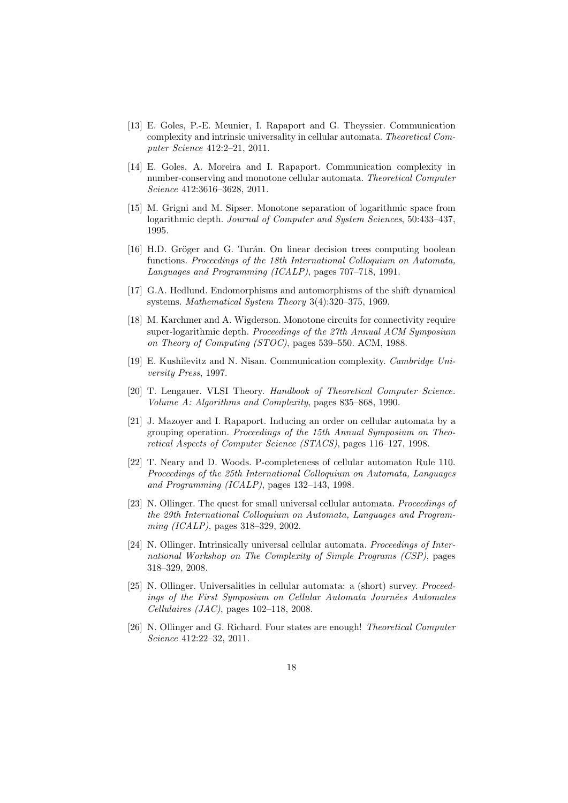- [13] E. Goles, P.-E. Meunier, I. Rapaport and G. Theyssier. Communication complexity and intrinsic universality in cellular automata. *Theoretical Computer Science* 412:2–21, 2011.
- [14] E. Goles, A. Moreira and I. Rapaport. Communication complexity in number-conserving and monotone cellular automata. *Theoretical Computer Science* 412:3616–3628, 2011.
- [15] M. Grigni and M. Sipser. Monotone separation of logarithmic space from logarithmic depth. *Journal of Computer and System Sciences*, 50:433–437, 1995.
- [16] H.D. Gröger and G. Turán. On linear decision trees computing boolean functions. *Proceedings of the 18th International Colloquium on Automata, Languages and Programming (ICALP)*, pages 707–718, 1991.
- [17] G.A. Hedlund. Endomorphisms and automorphisms of the shift dynamical systems. *Mathematical System Theory* 3(4):320–375, 1969.
- [18] M. Karchmer and A. Wigderson. Monotone circuits for connectivity require super-logarithmic depth. *Proceedings of the 27th Annual ACM Symposium on Theory of Computing (STOC)*, pages 539–550. ACM, 1988.
- [19] E. Kushilevitz and N. Nisan. Communication complexity. *Cambridge University Press*, 1997.
- [20] T. Lengauer. VLSI Theory. *Handbook of Theoretical Computer Science. Volume A: Algorithms and Complexity*, pages 835–868, 1990.
- [21] J. Mazoyer and I. Rapaport. Inducing an order on cellular automata by a grouping operation. *Proceedings of the 15th Annual Symposium on Theoretical Aspects of Computer Science (STACS)*, pages 116–127, 1998.
- [22] T. Neary and D. Woods. P-completeness of cellular automaton Rule 110. *Proceedings of the 25th International Colloquium on Automata, Languages and Programming (ICALP)*, pages 132–143, 1998.
- [23] N. Ollinger. The quest for small universal cellular automata. *Proceedings of the 29th International Colloquium on Automata, Languages and Programming (ICALP)*, pages 318–329, 2002.
- [24] N. Ollinger. Intrinsically universal cellular automata. *Proceedings of International Workshop on The Complexity of Simple Programs (CSP)*, pages 318–329, 2008.
- [25] N. Ollinger. Universalities in cellular automata: a (short) survey. *Proceedings of the First Symposium on Cellular Automata Journ´ees Automates Cellulaires (JAC)*, pages 102–118, 2008.
- [26] N. Ollinger and G. Richard. Four states are enough! *Theoretical Computer Science* 412:22–32, 2011.